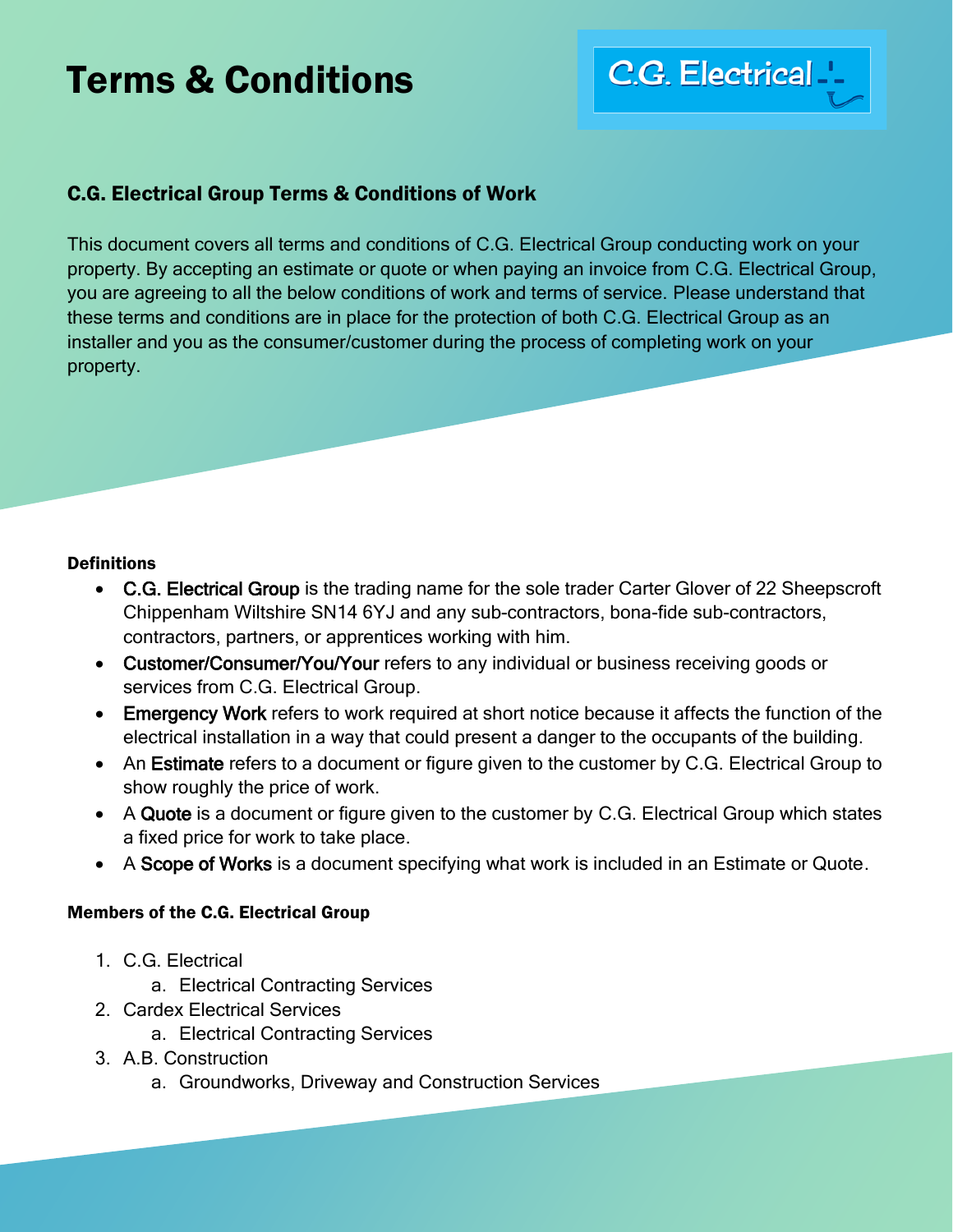## Terms & Conditions

# C.G. Electrical ...

### C.G. Electrical Group Terms & Conditions of Work

This document covers all terms and conditions of C.G. Electrical Group conducting work on your property. By accepting an estimate or quote or when paying an invoice from C.G. Electrical Group, you are agreeing to all the below conditions of work and terms of service. Please understand that these terms and conditions are in place for the protection of both C.G. Electrical Group as an installer and you as the consumer/customer during the process of completing work on your property.

#### **Definitions**

- C.G. Electrical Group is the trading name for the sole trader Carter Glover of 22 Sheepscroft Chippenham Wiltshire SN14 6YJ and any sub-contractors, bona-fide sub-contractors, contractors, partners, or apprentices working with him.
- Customer/Consumer/You/Your refers to any individual or business receiving goods or services from C.G. Electrical Group.
- Emergency Work refers to work required at short notice because it affects the function of the electrical installation in a way that could present a danger to the occupants of the building.
- An Estimate refers to a document or figure given to the customer by C.G. Electrical Group to show roughly the price of work.
- A Quote is a document or figure given to the customer by C.G. Electrical Group which states a fixed price for work to take place.
- A Scope of Works is a document specifying what work is included in an Estimate or Quote.

#### Members of the C.G. Electrical Group

- 1. C.G. Electrical
	- a. Electrical Contracting Services
- 2. Cardex Electrical Services
	- a. Electrical Contracting Services
- 3. A.B. Construction
	- a. Groundworks, Driveway and Construction Services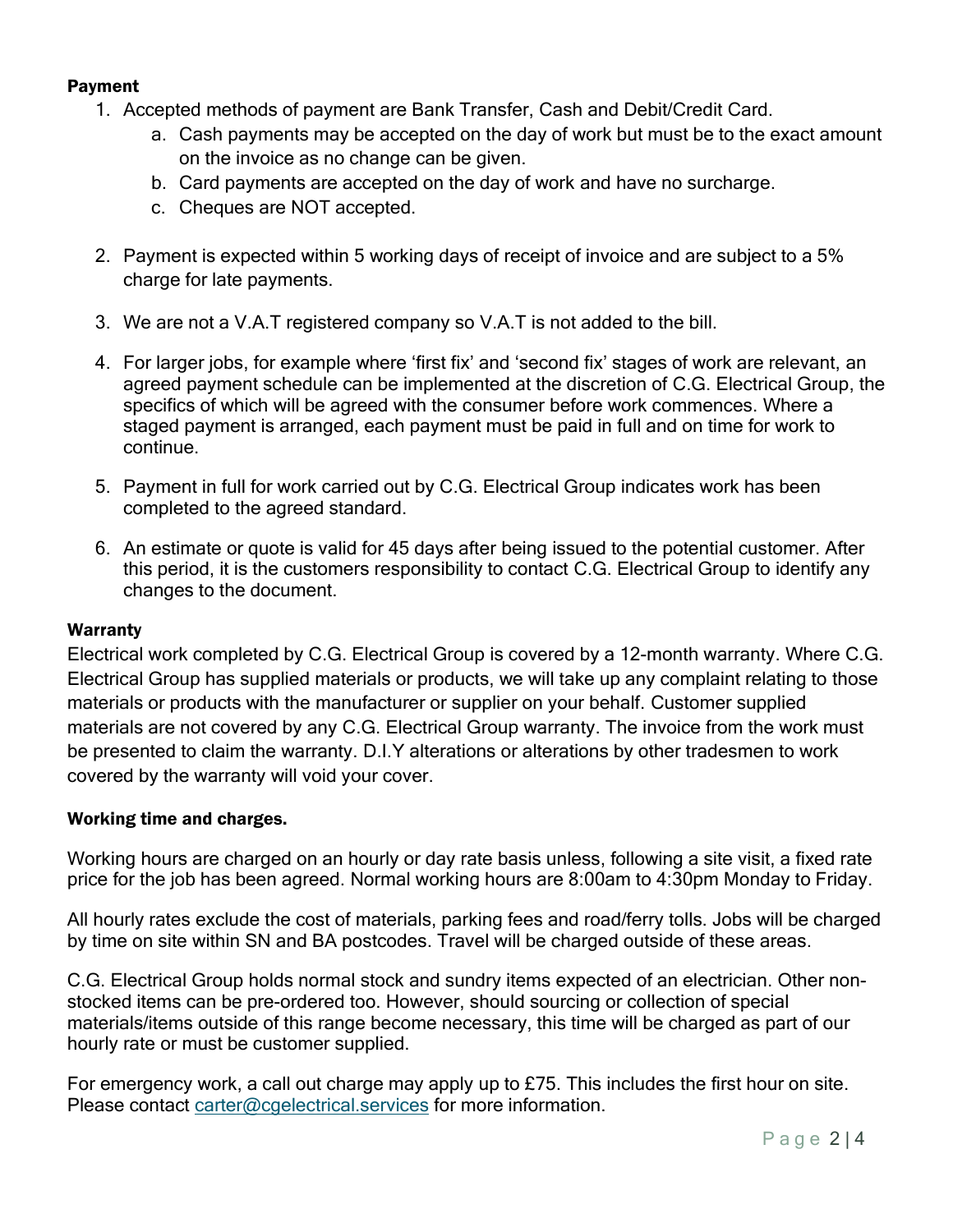#### Payment

- 1. Accepted methods of payment are Bank Transfer, Cash and Debit/Credit Card.
	- a. Cash payments may be accepted on the day of work but must be to the exact amount on the invoice as no change can be given.
	- b. Card payments are accepted on the day of work and have no surcharge.
	- c. Cheques are NOT accepted.
- 2. Payment is expected within 5 working days of receipt of invoice and are subject to a 5% charge for late payments.
- 3. We are not a V.A.T registered company so V.A.T is not added to the bill.
- 4. For larger jobs, for example where 'first fix' and 'second fix' stages of work are relevant, an agreed payment schedule can be implemented at the discretion of C.G. Electrical Group, the specifics of which will be agreed with the consumer before work commences. Where a staged payment is arranged, each payment must be paid in full and on time for work to continue.
- 5. Payment in full for work carried out by C.G. Electrical Group indicates work has been completed to the agreed standard.
- 6. An estimate or quote is valid for 45 days after being issued to the potential customer. After this period, it is the customers responsibility to contact C.G. Electrical Group to identify any changes to the document.

#### Warranty

Electrical work completed by C.G. Electrical Group is covered by a 12-month warranty. Where C.G. Electrical Group has supplied materials or products, we will take up any complaint relating to those materials or products with the manufacturer or supplier on your behalf. Customer supplied materials are not covered by any C.G. Electrical Group warranty. The invoice from the work must be presented to claim the warranty. D.I.Y alterations or alterations by other tradesmen to work covered by the warranty will void your cover.

#### Working time and charges.

Working hours are charged on an hourly or day rate basis unless, following a site visit, a fixed rate price for the job has been agreed. Normal working hours are 8:00am to 4:30pm Monday to Friday.

All hourly rates exclude the cost of materials, parking fees and road/ferry tolls. Jobs will be charged by time on site within SN and BA postcodes. Travel will be charged outside of these areas.

C.G. Electrical Group holds normal stock and sundry items expected of an electrician. Other nonstocked items can be pre-ordered too. However, should sourcing or collection of special materials/items outside of this range become necessary, this time will be charged as part of our hourly rate or must be customer supplied.

For emergency work, a call out charge may apply up to £75. This includes the first hour on site. Please contact [carter@cgelectrical.services](mailto:carter@cgelectrical.services) for more information.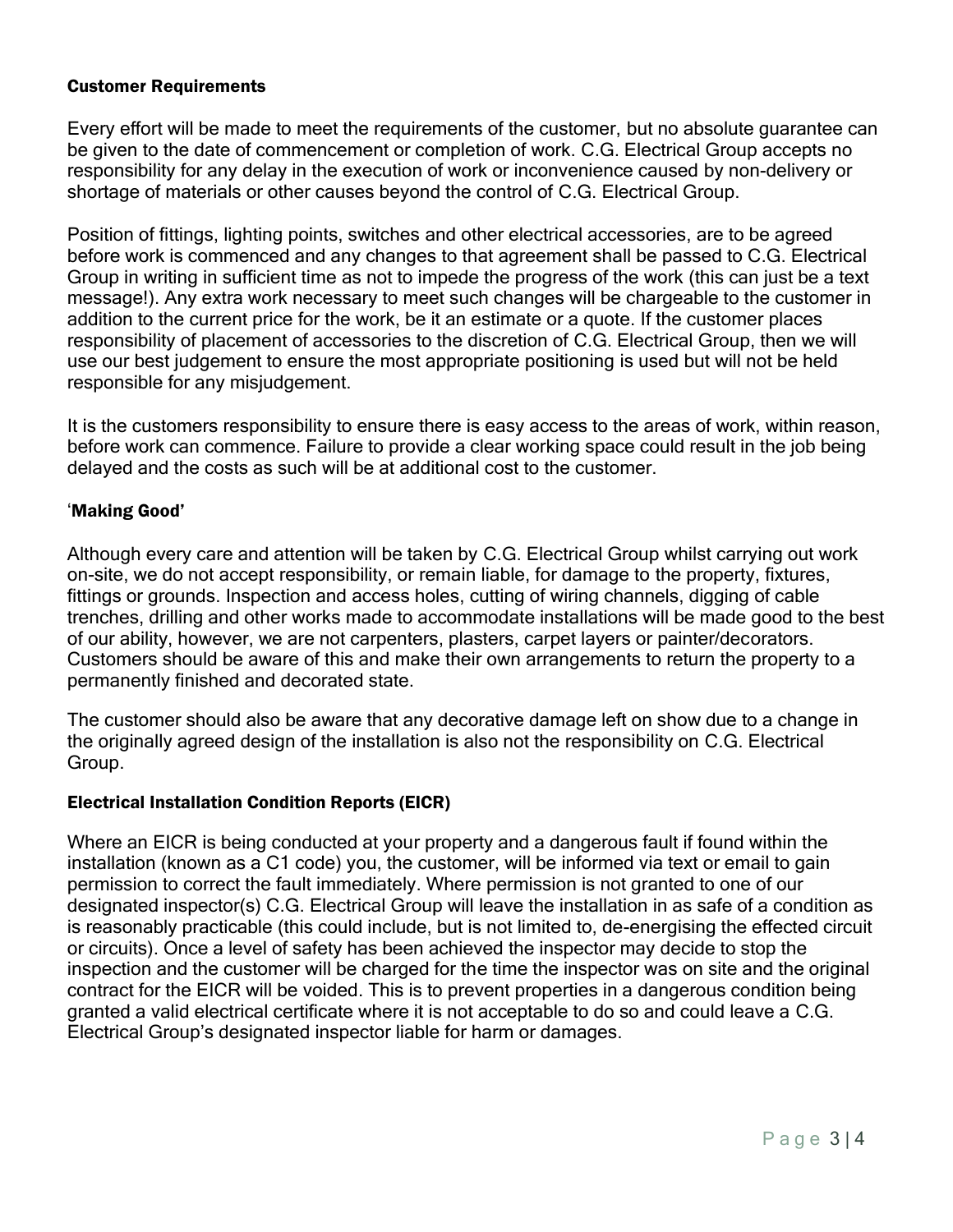#### Customer Requirements

Every effort will be made to meet the requirements of the customer, but no absolute guarantee can be given to the date of commencement or completion of work. C.G. Electrical Group accepts no responsibility for any delay in the execution of work or inconvenience caused by non-delivery or shortage of materials or other causes beyond the control of C.G. Electrical Group.

Position of fittings, lighting points, switches and other electrical accessories, are to be agreed before work is commenced and any changes to that agreement shall be passed to C.G. Electrical Group in writing in sufficient time as not to impede the progress of the work (this can just be a text message!). Any extra work necessary to meet such changes will be chargeable to the customer in addition to the current price for the work, be it an estimate or a quote. If the customer places responsibility of placement of accessories to the discretion of C.G. Electrical Group, then we will use our best judgement to ensure the most appropriate positioning is used but will not be held responsible for any misjudgement.

It is the customers responsibility to ensure there is easy access to the areas of work, within reason, before work can commence. Failure to provide a clear working space could result in the job being delayed and the costs as such will be at additional cost to the customer.

#### 'Making Good'

Although every care and attention will be taken by C.G. Electrical Group whilst carrying out work on-site, we do not accept responsibility, or remain liable, for damage to the property, fixtures, fittings or grounds. Inspection and access holes, cutting of wiring channels, digging of cable trenches, drilling and other works made to accommodate installations will be made good to the best of our ability, however, we are not carpenters, plasters, carpet layers or painter/decorators. Customers should be aware of this and make their own arrangements to return the property to a permanently finished and decorated state.

The customer should also be aware that any decorative damage left on show due to a change in the originally agreed design of the installation is also not the responsibility on C.G. Electrical Group.

#### Electrical Installation Condition Reports (EICR)

Where an EICR is being conducted at your property and a dangerous fault if found within the installation (known as a C1 code) you, the customer, will be informed via text or email to gain permission to correct the fault immediately. Where permission is not granted to one of our designated inspector(s) C.G. Electrical Group will leave the installation in as safe of a condition as is reasonably practicable (this could include, but is not limited to, de-energising the effected circuit or circuits). Once a level of safety has been achieved the inspector may decide to stop the inspection and the customer will be charged for the time the inspector was on site and the original contract for the EICR will be voided. This is to prevent properties in a dangerous condition being granted a valid electrical certificate where it is not acceptable to do so and could leave a C.G. Electrical Group's designated inspector liable for harm or damages.